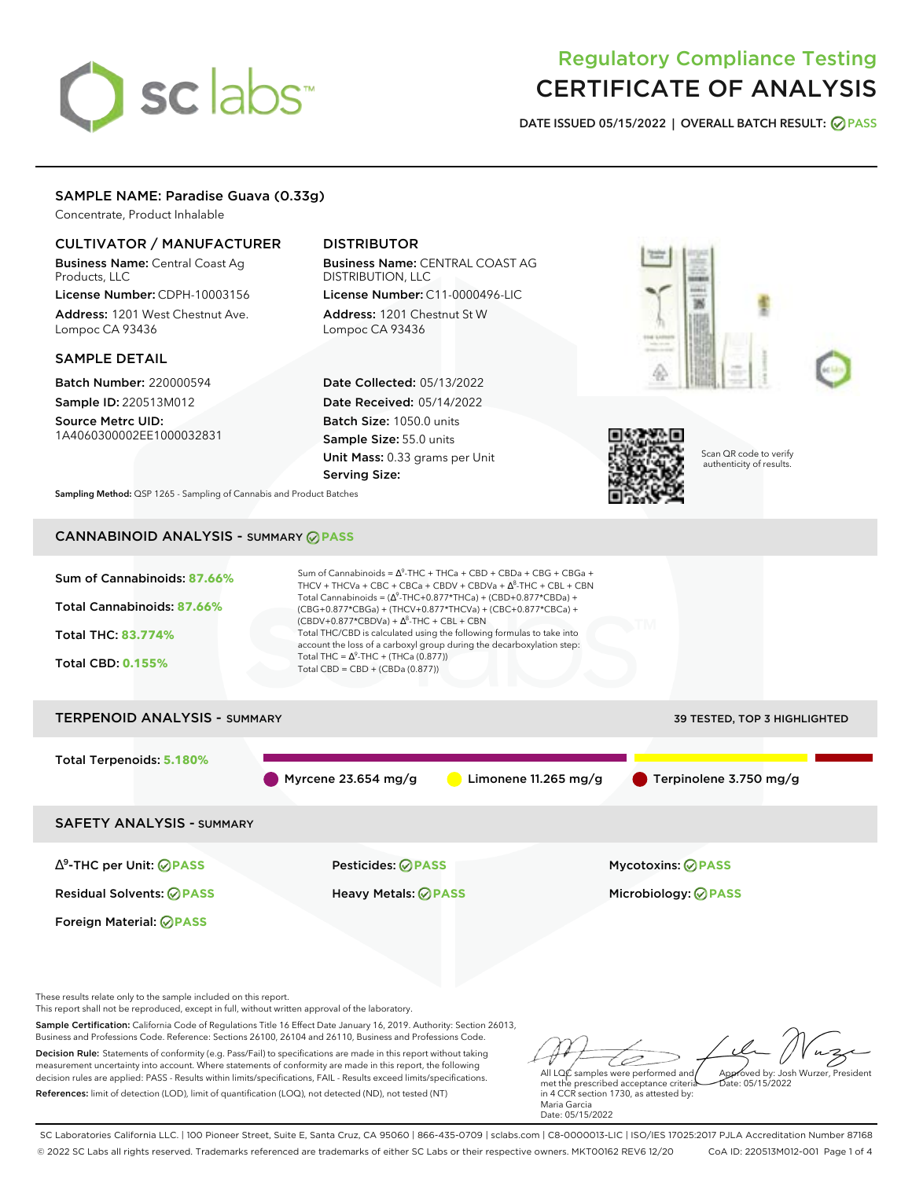# sclabs

# Regulatory Compliance Testing CERTIFICATE OF ANALYSIS

**DATE ISSUED 05/15/2022 | OVERALL BATCH RESULT: PASS**

# SAMPLE NAME: Paradise Guava (0.33g)

Concentrate, Product Inhalable

# CULTIVATOR / MANUFACTURER

Business Name: Central Coast Ag Products, LLC License Number: CDPH-10003156

Address: 1201 West Chestnut Ave. Lompoc CA 93436

# SAMPLE DETAIL

Batch Number: 220000594 Sample ID: 220513M012

Source Metrc UID: 1A4060300002EE1000032831

# DISTRIBUTOR

Business Name: CENTRAL COAST AG DISTRIBUTION, LLC License Number: C11-0000496-LIC

Address: 1201 Chestnut St W Lompoc CA 93436

Date Collected: 05/13/2022 Date Received: 05/14/2022 Batch Size: 1050.0 units Sample Size: 55.0 units Unit Mass: 0.33 grams per Unit Serving Size:





Scan QR code to verify authenticity of results.

**Sampling Method:** QSP 1265 - Sampling of Cannabis and Product Batches

# CANNABINOID ANALYSIS - SUMMARY **PASS**

| Sum of Cannabinoids: 87.66%<br>Total Cannabinoids: 87.66%<br><b>Total THC: 83.774%</b><br><b>Total CBD: 0.155%</b> | Sum of Cannabinoids = $\Delta^9$ -THC + THCa + CBD + CBDa + CBG + CBGa +<br>THCV + THCVa + CBC + CBCa + CBDV + CBDVa + $\Delta^8$ -THC + CBL + CBN<br>Total Cannabinoids = $(\Delta^9$ -THC+0.877*THCa) + (CBD+0.877*CBDa) +<br>(CBG+0.877*CBGa) + (THCV+0.877*THCVa) + (CBC+0.877*CBCa) +<br>$(CBDV+0.877*CBDVa) + \Delta^8$ -THC + CBL + CBN<br>Total THC/CBD is calculated using the following formulas to take into<br>account the loss of a carboxyl group during the decarboxylation step:<br>Total THC = $\Delta^9$ -THC + (THCa (0.877))<br>Total CBD = $CBD + (CBDa (0.877))$ |                                                        |
|--------------------------------------------------------------------------------------------------------------------|----------------------------------------------------------------------------------------------------------------------------------------------------------------------------------------------------------------------------------------------------------------------------------------------------------------------------------------------------------------------------------------------------------------------------------------------------------------------------------------------------------------------------------------------------------------------------------------|--------------------------------------------------------|
| <b>TERPENOID ANALYSIS - SUMMARY</b>                                                                                |                                                                                                                                                                                                                                                                                                                                                                                                                                                                                                                                                                                        | 39 TESTED, TOP 3 HIGHLIGHTED                           |
| Total Terpenoids: 5.180%                                                                                           | Myrcene $23.654$ mg/g<br>Limonene $11.265$ mg/g                                                                                                                                                                                                                                                                                                                                                                                                                                                                                                                                        | Terpinolene 3.750 mg/g                                 |
| <b>SAFETY ANALYSIS - SUMMARY</b>                                                                                   |                                                                                                                                                                                                                                                                                                                                                                                                                                                                                                                                                                                        |                                                        |
| $\Delta^9$ -THC per Unit: $\bigcirc$ PASS<br><b>Residual Solvents: ⊘PASS</b><br>Foreign Material: <b>⊘ PASS</b>    | Pesticides: ⊘PASS<br><b>Heavy Metals: ⊘ PASS</b>                                                                                                                                                                                                                                                                                                                                                                                                                                                                                                                                       | <b>Mycotoxins: ⊘PASS</b><br>Microbiology: <b>⊘PASS</b> |

These results relate only to the sample included on this report.

This report shall not be reproduced, except in full, without written approval of the laboratory.

Sample Certification: California Code of Regulations Title 16 Effect Date January 16, 2019. Authority: Section 26013, Business and Professions Code. Reference: Sections 26100, 26104 and 26110, Business and Professions Code.

Decision Rule: Statements of conformity (e.g. Pass/Fail) to specifications are made in this report without taking measurement uncertainty into account. Where statements of conformity are made in this report, the following decision rules are applied: PASS - Results within limits/specifications, FAIL - Results exceed limits/specifications. References: limit of detection (LOD), limit of quantification (LOQ), not detected (ND), not tested (NT)

D All LQC samples were performed and Approved by: Josh Wurzer, President Date: 05/15/2022

met the prescribed acceptance criteria in 4 CCR section 1730, as attested by: Maria Garcia Date: 05/15/2022

SC Laboratories California LLC. | 100 Pioneer Street, Suite E, Santa Cruz, CA 95060 | 866-435-0709 | sclabs.com | C8-0000013-LIC | ISO/IES 17025:2017 PJLA Accreditation Number 87168 © 2022 SC Labs all rights reserved. Trademarks referenced are trademarks of either SC Labs or their respective owners. MKT00162 REV6 12/20 CoA ID: 220513M012-001 Page 1 of 4